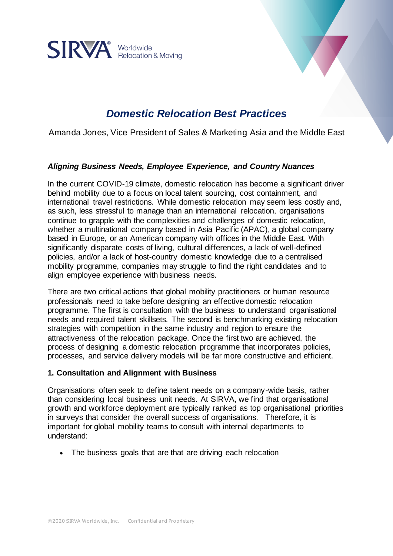

# *Domestic Relocation Best Practices*

Amanda Jones, Vice President of Sales & Marketing Asia and the Middle East

# *Aligning Business Needs, Employee Experience, and Country Nuances*

In the current COVID-19 climate, domestic relocation has become a significant driver behind mobility due to a focus on local talent sourcing, cost containment, and international travel restrictions. While domestic relocation may seem less costly and, as such, less stressful to manage than an international relocation, organisations continue to grapple with the complexities and challenges of domestic relocation, whether a multinational company based in Asia Pacific (APAC), a global company based in Europe, or an American company with offices in the Middle East. With significantly disparate costs of living, cultural differences, a lack of well-defined policies, and/or a lack of host-country domestic knowledge due to a centralised mobility programme, companies may struggle to find the right candidates and to align employee experience with business needs.

There are two critical actions that global mobility practitioners or human resource professionals need to take before designing an effective domestic relocation programme. The first is consultation with the business to understand organisational needs and required talent skillsets. The second is benchmarking existing relocation strategies with competition in the same industry and region to ensure the attractiveness of the relocation package. Once the first two are achieved, the process of designing a domestic relocation programme that incorporates policies, processes, and service delivery models will be far more constructive and efficient.

#### **1. Consultation and Alignment with Business**

Organisations often seek to define talent needs on a company-wide basis, rather than considering local business unit needs. At SIRVA, we find that organisational growth and workforce deployment are typically ranked as top organisational priorities in surveys that consider the overall success of organisations. Therefore, it is important for global mobility teams to consult with internal departments to understand:

• The business goals that are that are driving each relocation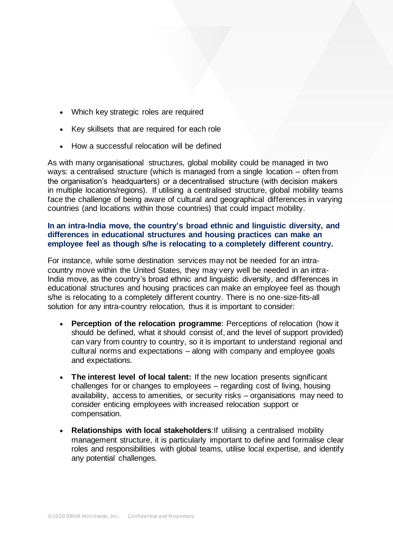- Which key strategic roles are required
- Key skillsets that are required for each role
- How a successful relocation will be defined

As with many organisational structures, global mobility could be managed in two ways: a centralised structure (which is managed from a single location – often from the organisation's headquarters) or a decentralised structure (with decision makers in multiple locations/regions). If utilising a centralised structure, global mobility teams face the challenge of being aware of cultural and geographical differences in varying countries (and locations within those countries) that could impact mobility.

# **In an intra-India move, the country's broad ethnic and linguistic diversity, and differences in educational structures and housing practices can make an employee feel as though s/he is relocating to a completely different country.**

For instance, while some destination services may not be needed for an intracountry move within the United States, they may very well be needed in an intra-India move, as the country's broad ethnic and linguistic diversity, and differences in educational structures and housing practices can make an employee feel as though s/he is relocating to a completely different country. There is no one-size-fits-all solution for any intra-country relocation, thus it is important to consider:

- **Perception of the relocation programme:** Perceptions of relocation (how it should be defined, what it should consist of, and the level of support provided) can vary from country to country, so it is important to understand regional and cultural norms and expectations – along with company and employee goals and expectations.
- **The interest level of local talent:** If the new location presents significant challenges for or changes to employees – regarding cost of living, housing availability, access to amenities, or security risks – organisations may need to consider enticing employees with increased relocation support or compensation.
- **Relationships with local stakeholders**:If utilising a centralised mobility management structure, it is particularly important to define and formalise clear roles and responsibilities with global teams, utilise local expertise, and identify any potential challenges.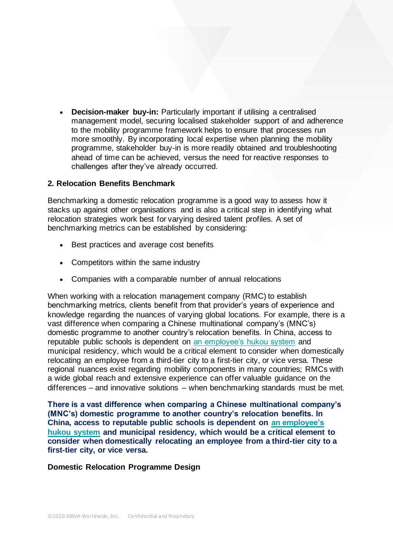• **Decision-maker buy-in:** Particularly important if utilising a centralised management model, securing localised stakeholder support of and adherence to the mobility programme framework helps to ensure that processes run more smoothly. By incorporating local expertise when planning the mobility programme, stakeholder buy-in is more readily obtained and troubleshooting ahead of time can be achieved, versus the need for reactive responses to challenges after they've already occurred.

# **2. Relocation Benefits Benchmark**

Benchmarking a domestic relocation programme is a good way to assess how it stacks up against other organisations and is also a critical step in identifying what relocation strategies work best for varying desired talent profiles. A set of benchmarking metrics can be established by considering:

- Best practices and average cost benefits
- Competitors within the same industry
- Companies with a comparable number of annual relocations

When working with a relocation management company (RMC) to establish benchmarking metrics, clients benefit from that provider's years of experience and knowledge regarding the nuances of varying global locations. For example, there is a vast difference when comparing a Chinese multinational company's (MNC's) domestic programme to another country's relocation benefits. In China, access to reputable public schools is dependent on [an employee's hukou system](https://www.amcham-shanghai.org/en/fast-answers) and municipal residency, which would be a critical element to consider when domestically relocating an employee from a third-tier city to a first-tier city, or vice versa. These regional nuances exist regarding mobility components in many countries; RMCs with a wide global reach and extensive experience can offer valuable guidance on the differences – and innovative solutions – when benchmarking standards must be met.

**There is a vast difference when comparing a Chinese multinational company's (MNC's) domestic programme to another country's relocation benefits. In China, access to reputable public schools is dependent on [an employee's](https://www.amcham-shanghai.org/en/fast-answers)  [hukou system](https://www.amcham-shanghai.org/en/fast-answers) and municipal residency, which would be a critical element to consider when domestically relocating an employee from a third-tier city to a first-tier city, or vice versa.**

#### **Domestic Relocation Programme Design**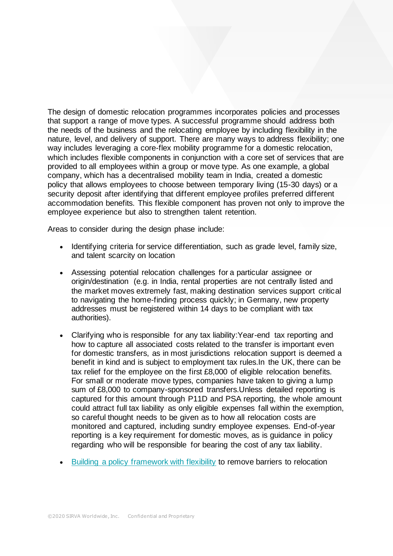The design of domestic relocation programmes incorporates policies and processes that support a range of move types. A successful programme should address both the needs of the business and the relocating employee by including flexibility in the nature, level, and delivery of support. There are many ways to address flexibility; one way includes leveraging a core-flex mobility programme for a domestic relocation, which includes flexible components in conjunction with a core set of services that are provided to all employees within a group or move type. As one example, a global company, which has a decentralised mobility team in India, created a domestic policy that allows employees to choose between temporary living (15-30 days) or a security deposit after identifying that different employee profiles preferred different accommodation benefits. This flexible component has proven not only to improve the employee experience but also to strengthen talent retention.

Areas to consider during the design phase include:

- Identifying criteria for service differentiation, such as grade level, family size, and talent scarcity on location
- Assessing potential relocation challenges for a particular assignee or origin/destination (e.g. in India, rental properties are not centrally listed and the market moves extremely fast, making destination services support critical to navigating the home-finding process quickly; in Germany, new property addresses must be registered within 14 days to be compliant with tax authorities).
- Clarifying who is responsible for any tax liability:Year-end tax reporting and how to capture all associated costs related to the transfer is important even for domestic transfers, as in most jurisdictions relocation support is deemed a benefit in kind and is subject to employment tax rules.In the UK, there can be tax relief for the employee on the first £8,000 of eligible relocation benefits. For small or moderate move types, companies have taken to giving a lump sum of £8,000 to company-sponsored transfers.Unless detailed reporting is captured for this amount through P11D and PSA reporting, the whole amount could attract full tax liability as only eligible expenses fall within the exemption, so careful thought needs to be given as to how all relocation costs are monitored and captured, including sundry employee expenses. End-of-year reporting is a key requirement for domestic moves, as is guidance in policy regarding who will be responsible for bearing the cost of any tax liability.
- [Building a policy framework with flexibility](https://www.sirva.com/learning-center/blog/2020/08/13/is-your-core-flex-mobility-program-too-flexible-or-not-flexible-enough) to remove barriers to relocation